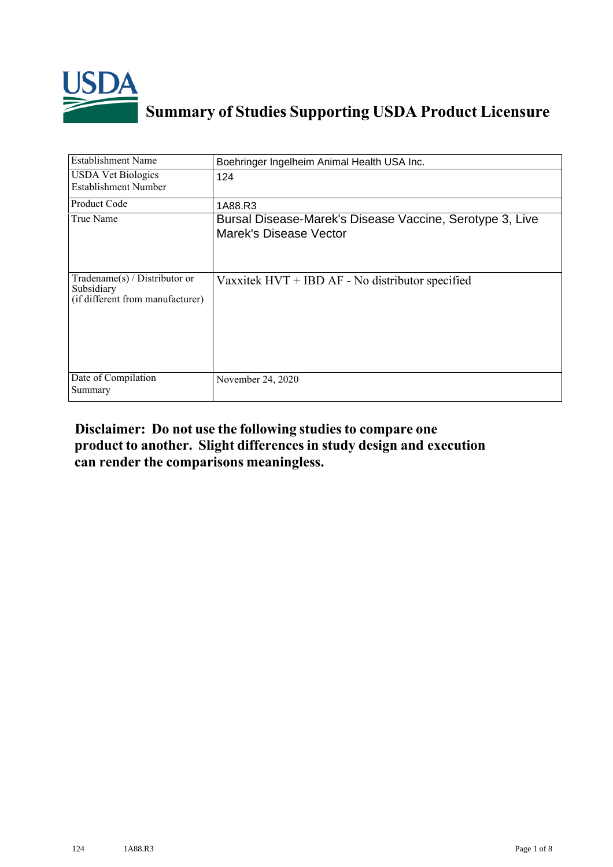

## **Summary of Studies Supporting USDA Product Licensure**

| <b>Establishment Name</b>                                                          | Boehringer Ingelheim Animal Health USA Inc.                                        |
|------------------------------------------------------------------------------------|------------------------------------------------------------------------------------|
| <b>USDA Vet Biologics</b><br>Establishment Number                                  | 124                                                                                |
| Product Code                                                                       | 1A88.R3                                                                            |
| True Name                                                                          | Bursal Disease-Marek's Disease Vaccine, Serotype 3, Live<br>Marek's Disease Vector |
| Tradename $(s)$ / Distributor or<br>Subsidiary<br>(if different from manufacturer) | Vaxxitek $HVT + IBD AF - No$ distributor specified                                 |
| Date of Compilation<br>Summary                                                     | November 24, 2020                                                                  |

## **Disclaimer: Do not use the following studiesto compare one product to another. Slight differencesin study design and execution can render the comparisons meaningless.**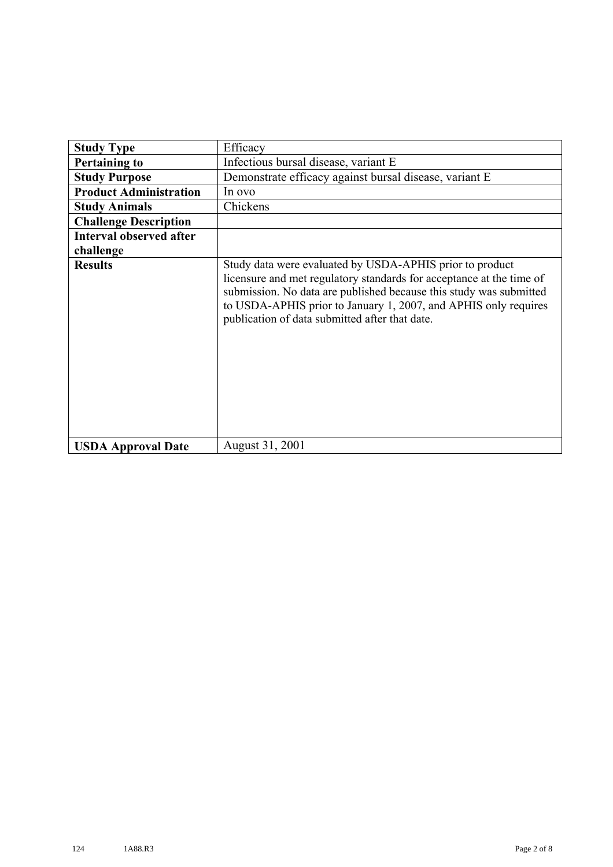| <b>Study Type</b>              | Efficacy                                                                                                                                                                                                                                                                                                                    |
|--------------------------------|-----------------------------------------------------------------------------------------------------------------------------------------------------------------------------------------------------------------------------------------------------------------------------------------------------------------------------|
| <b>Pertaining to</b>           | Infectious bursal disease, variant E                                                                                                                                                                                                                                                                                        |
| <b>Study Purpose</b>           | Demonstrate efficacy against bursal disease, variant E                                                                                                                                                                                                                                                                      |
| <b>Product Administration</b>  | In ovo                                                                                                                                                                                                                                                                                                                      |
| <b>Study Animals</b>           | Chickens                                                                                                                                                                                                                                                                                                                    |
| <b>Challenge Description</b>   |                                                                                                                                                                                                                                                                                                                             |
| <b>Interval observed after</b> |                                                                                                                                                                                                                                                                                                                             |
| challenge                      |                                                                                                                                                                                                                                                                                                                             |
| <b>Results</b>                 | Study data were evaluated by USDA-APHIS prior to product<br>licensure and met regulatory standards for acceptance at the time of<br>submission. No data are published because this study was submitted<br>to USDA-APHIS prior to January 1, 2007, and APHIS only requires<br>publication of data submitted after that date. |
| <b>USDA Approval Date</b>      | August 31, 2001                                                                                                                                                                                                                                                                                                             |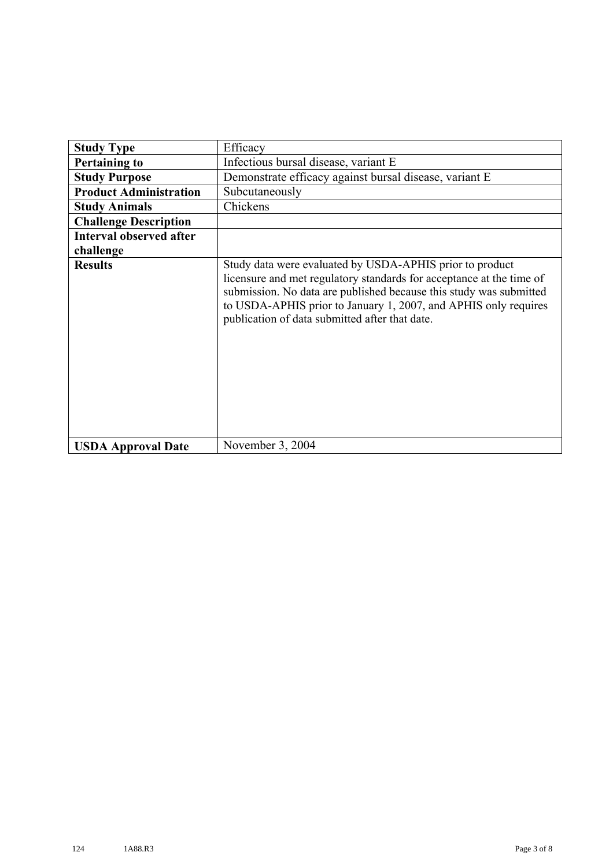| <b>Study Type</b>              | Efficacy                                                                                                                                                                                                                                                                                                                    |
|--------------------------------|-----------------------------------------------------------------------------------------------------------------------------------------------------------------------------------------------------------------------------------------------------------------------------------------------------------------------------|
| <b>Pertaining to</b>           | Infectious bursal disease, variant E                                                                                                                                                                                                                                                                                        |
| <b>Study Purpose</b>           | Demonstrate efficacy against bursal disease, variant E                                                                                                                                                                                                                                                                      |
| <b>Product Administration</b>  | Subcutaneously                                                                                                                                                                                                                                                                                                              |
| <b>Study Animals</b>           | Chickens                                                                                                                                                                                                                                                                                                                    |
| <b>Challenge Description</b>   |                                                                                                                                                                                                                                                                                                                             |
| <b>Interval observed after</b> |                                                                                                                                                                                                                                                                                                                             |
| challenge                      |                                                                                                                                                                                                                                                                                                                             |
| <b>Results</b>                 | Study data were evaluated by USDA-APHIS prior to product<br>licensure and met regulatory standards for acceptance at the time of<br>submission. No data are published because this study was submitted<br>to USDA-APHIS prior to January 1, 2007, and APHIS only requires<br>publication of data submitted after that date. |
| <b>USDA Approval Date</b>      | November 3, 2004                                                                                                                                                                                                                                                                                                            |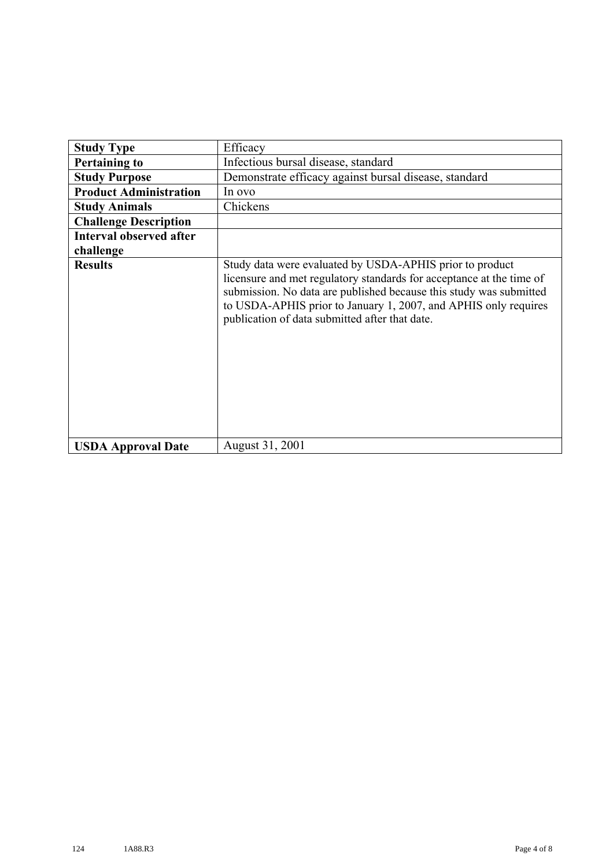| <b>Study Type</b>              | Efficacy                                                                                                                                                                                                                                                                                                                    |
|--------------------------------|-----------------------------------------------------------------------------------------------------------------------------------------------------------------------------------------------------------------------------------------------------------------------------------------------------------------------------|
| <b>Pertaining to</b>           | Infectious bursal disease, standard                                                                                                                                                                                                                                                                                         |
| <b>Study Purpose</b>           | Demonstrate efficacy against bursal disease, standard                                                                                                                                                                                                                                                                       |
| <b>Product Administration</b>  | In ovo                                                                                                                                                                                                                                                                                                                      |
| <b>Study Animals</b>           | Chickens                                                                                                                                                                                                                                                                                                                    |
| <b>Challenge Description</b>   |                                                                                                                                                                                                                                                                                                                             |
| <b>Interval observed after</b> |                                                                                                                                                                                                                                                                                                                             |
| challenge                      |                                                                                                                                                                                                                                                                                                                             |
| <b>Results</b>                 | Study data were evaluated by USDA-APHIS prior to product<br>licensure and met regulatory standards for acceptance at the time of<br>submission. No data are published because this study was submitted<br>to USDA-APHIS prior to January 1, 2007, and APHIS only requires<br>publication of data submitted after that date. |
| <b>USDA Approval Date</b>      | August 31, 2001                                                                                                                                                                                                                                                                                                             |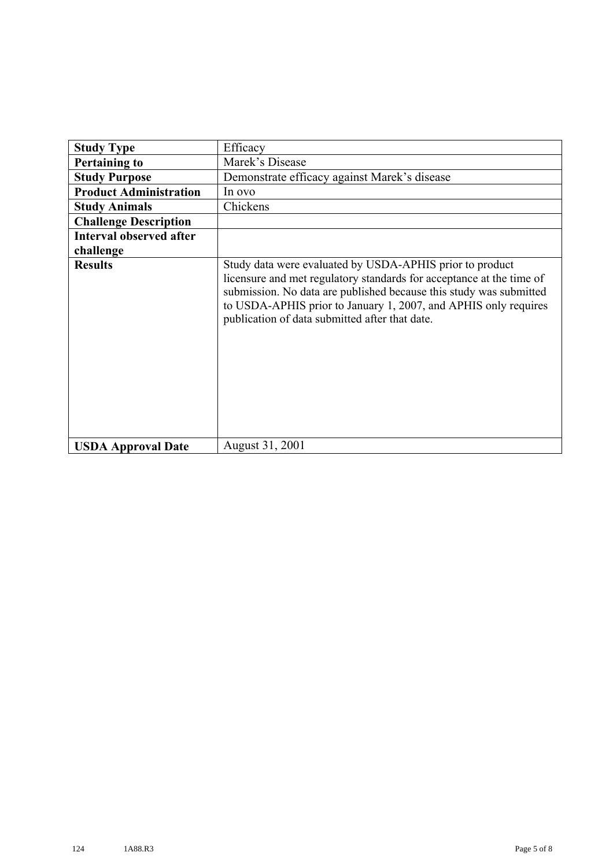| <b>Study Type</b>              | Efficacy                                                                                                                                                                                                                                                                                                                    |
|--------------------------------|-----------------------------------------------------------------------------------------------------------------------------------------------------------------------------------------------------------------------------------------------------------------------------------------------------------------------------|
| <b>Pertaining to</b>           | Marek's Disease                                                                                                                                                                                                                                                                                                             |
| <b>Study Purpose</b>           | Demonstrate efficacy against Marek's disease                                                                                                                                                                                                                                                                                |
| <b>Product Administration</b>  | In ovo                                                                                                                                                                                                                                                                                                                      |
| <b>Study Animals</b>           | Chickens                                                                                                                                                                                                                                                                                                                    |
| <b>Challenge Description</b>   |                                                                                                                                                                                                                                                                                                                             |
| <b>Interval observed after</b> |                                                                                                                                                                                                                                                                                                                             |
| challenge                      |                                                                                                                                                                                                                                                                                                                             |
| <b>Results</b>                 | Study data were evaluated by USDA-APHIS prior to product<br>licensure and met regulatory standards for acceptance at the time of<br>submission. No data are published because this study was submitted<br>to USDA-APHIS prior to January 1, 2007, and APHIS only requires<br>publication of data submitted after that date. |
| <b>USDA Approval Date</b>      | August 31, 2001                                                                                                                                                                                                                                                                                                             |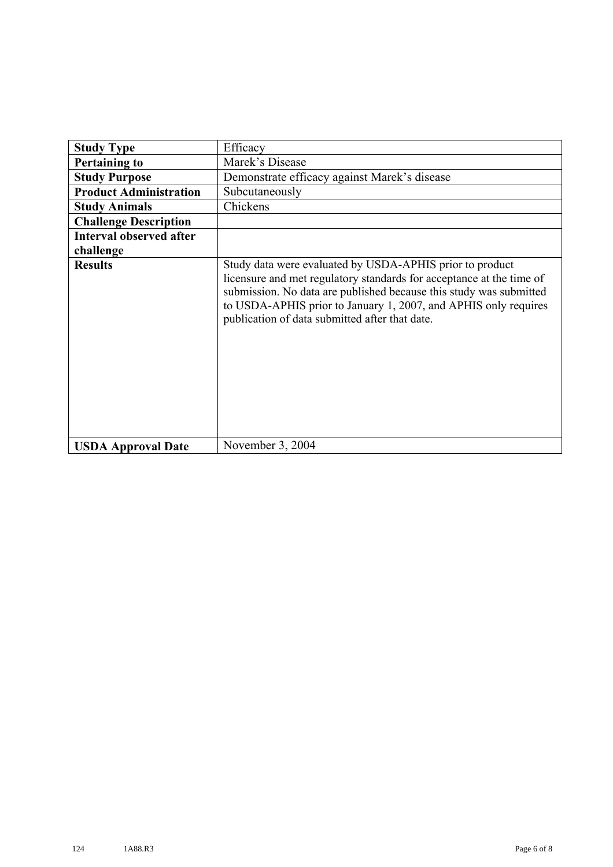| <b>Study Type</b>              | Efficacy                                                                                                                                                                                                                                                                                                                    |
|--------------------------------|-----------------------------------------------------------------------------------------------------------------------------------------------------------------------------------------------------------------------------------------------------------------------------------------------------------------------------|
| <b>Pertaining to</b>           | Marek's Disease                                                                                                                                                                                                                                                                                                             |
| <b>Study Purpose</b>           | Demonstrate efficacy against Marek's disease                                                                                                                                                                                                                                                                                |
| <b>Product Administration</b>  | Subcutaneously                                                                                                                                                                                                                                                                                                              |
| <b>Study Animals</b>           | Chickens                                                                                                                                                                                                                                                                                                                    |
| <b>Challenge Description</b>   |                                                                                                                                                                                                                                                                                                                             |
| <b>Interval observed after</b> |                                                                                                                                                                                                                                                                                                                             |
| challenge                      |                                                                                                                                                                                                                                                                                                                             |
| <b>Results</b>                 | Study data were evaluated by USDA-APHIS prior to product<br>licensure and met regulatory standards for acceptance at the time of<br>submission. No data are published because this study was submitted<br>to USDA-APHIS prior to January 1, 2007, and APHIS only requires<br>publication of data submitted after that date. |
| <b>USDA Approval Date</b>      | November 3, 2004                                                                                                                                                                                                                                                                                                            |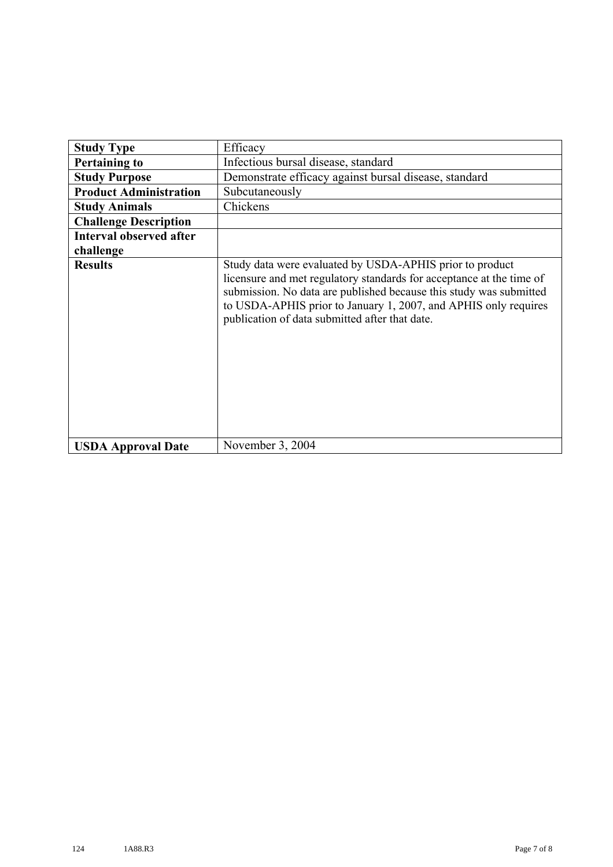| <b>Study Type</b>              | Efficacy                                                                                                                                                                                                                                                                                                                    |
|--------------------------------|-----------------------------------------------------------------------------------------------------------------------------------------------------------------------------------------------------------------------------------------------------------------------------------------------------------------------------|
| <b>Pertaining to</b>           | Infectious bursal disease, standard                                                                                                                                                                                                                                                                                         |
| <b>Study Purpose</b>           | Demonstrate efficacy against bursal disease, standard                                                                                                                                                                                                                                                                       |
|                                |                                                                                                                                                                                                                                                                                                                             |
| <b>Product Administration</b>  | Subcutaneously                                                                                                                                                                                                                                                                                                              |
| <b>Study Animals</b>           | Chickens                                                                                                                                                                                                                                                                                                                    |
| <b>Challenge Description</b>   |                                                                                                                                                                                                                                                                                                                             |
| <b>Interval observed after</b> |                                                                                                                                                                                                                                                                                                                             |
| challenge                      |                                                                                                                                                                                                                                                                                                                             |
| <b>Results</b>                 | Study data were evaluated by USDA-APHIS prior to product<br>licensure and met regulatory standards for acceptance at the time of<br>submission. No data are published because this study was submitted<br>to USDA-APHIS prior to January 1, 2007, and APHIS only requires<br>publication of data submitted after that date. |
| <b>USDA Approval Date</b>      | November 3, 2004                                                                                                                                                                                                                                                                                                            |